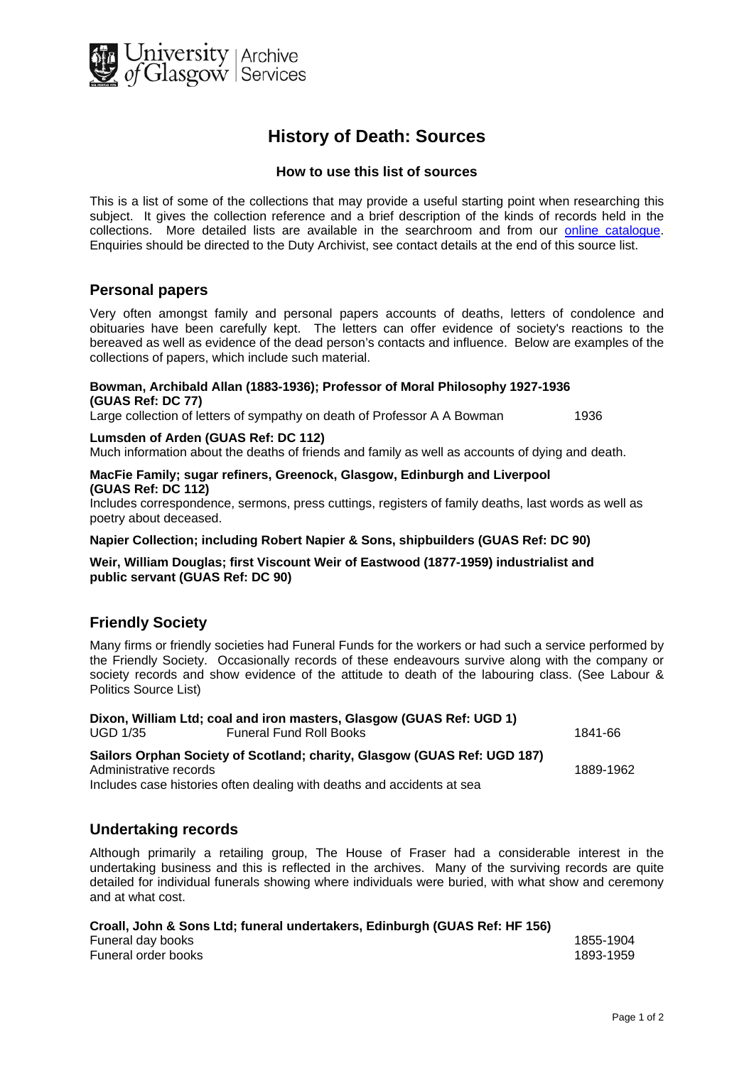

# **History of Death: Sources**

#### **How to use this list of sources**

This is a list of some of the collections that may provide a useful starting point when researching this subject. It gives the collection reference and a brief description of the kinds of records held in the collections. More detailed lists are available in the searchroom and from our [online catalogue.](http://cheshire.cent.gla.ac.uk/ead/) Enquiries should be directed to the Duty Archivist, see contact details at the end of this source list.

## **Personal papers**

Very often amongst family and personal papers accounts of deaths, letters of condolence and obituaries have been carefully kept. The letters can offer evidence of society's reactions to the bereaved as well as evidence of the dead person's contacts and influence. Below are examples of the collections of papers, which include such material.

#### **Bowman, Archibald Allan (1883-1936); Professor of Moral Philosophy 1927-1936 (GUAS Ref: DC 77)**

Large collection of letters of sympathy on death of Professor A A Bowman 1936

#### **Lumsden of Arden (GUAS Ref: DC 112)**

Much information about the deaths of friends and family as well as accounts of dying and death.

#### **MacFie Family; sugar refiners, Greenock, Glasgow, Edinburgh and Liverpool (GUAS Ref: DC 112)**

Includes correspondence, sermons, press cuttings, registers of family deaths, last words as well as poetry about deceased.

#### **Napier Collection; including Robert Napier & Sons, shipbuilders (GUAS Ref: DC 90)**

**Weir, William Douglas; first Viscount Weir of Eastwood (1877-1959) industrialist and public servant (GUAS Ref: DC 90)** 

## **Friendly Society**

Many firms or friendly societies had Funeral Funds for the workers or had such a service performed by the Friendly Society. Occasionally records of these endeavours survive along with the company or society records and show evidence of the attitude to death of the labouring class. (See Labour & Politics Source List)

**Dixon, William Ltd; coal and iron masters, Glasgow (GUAS Ref: UGD 1)** UGD 1/35 Funeral Fund Roll Books **1841-66** 

**Sailors Orphan Society of Scotland; charity, Glasgow (GUAS Ref: UGD 187)**  Administrative records **1889-1962** 

Includes case histories often dealing with deaths and accidents at sea

## **Undertaking records**

Although primarily a retailing group, The House of Fraser had a considerable interest in the undertaking business and this is reflected in the archives. Many of the surviving records are quite detailed for individual funerals showing where individuals were buried, with what show and ceremony and at what cost.

**Croall, John & Sons Ltd; funeral undertakers, Edinburgh (GUAS Ref: HF 156)** 

| Funeral day books   | 1855-1904 |
|---------------------|-----------|
| Funeral order books | 1893-1959 |